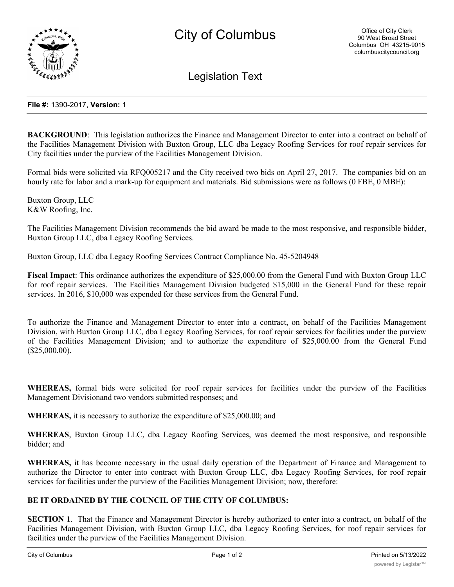

Legislation Text

## **File #:** 1390-2017, **Version:** 1

**BACKGROUND:** This legislation authorizes the Finance and Management Director to enter into a contract on behalf of the Facilities Management Division with Buxton Group, LLC dba Legacy Roofing Services for roof repair services for City facilities under the purview of the Facilities Management Division.

Formal bids were solicited via RFQ005217 and the City received two bids on April 27, 2017. The companies bid on an hourly rate for labor and a mark-up for equipment and materials. Bid submissions were as follows (0 FBE, 0 MBE):

Buxton Group, LLC K&W Roofing, Inc.

The Facilities Management Division recommends the bid award be made to the most responsive, and responsible bidder, Buxton Group LLC, dba Legacy Roofing Services.

Buxton Group, LLC dba Legacy Roofing Services Contract Compliance No. 45-5204948

**Fiscal Impact**: This ordinance authorizes the expenditure of \$25,000.00 from the General Fund with Buxton Group LLC for roof repair services. The Facilities Management Division budgeted \$15,000 in the General Fund for these repair services. In 2016, \$10,000 was expended for these services from the General Fund.

To authorize the Finance and Management Director to enter into a contract, on behalf of the Facilities Management Division, with Buxton Group LLC, dba Legacy Roofing Services, for roof repair services for facilities under the purview of the Facilities Management Division; and to authorize the expenditure of \$25,000.00 from the General Fund (\$25,000.00).

**WHEREAS,** formal bids were solicited for roof repair services for facilities under the purview of the Facilities Management Divisionand two vendors submitted responses; and

**WHEREAS,** it is necessary to authorize the expenditure of \$25,000.00; and

**WHEREAS**, Buxton Group LLC, dba Legacy Roofing Services, was deemed the most responsive, and responsible bidder; and

**WHEREAS,** it has become necessary in the usual daily operation of the Department of Finance and Management to authorize the Director to enter into contract with Buxton Group LLC, dba Legacy Roofing Services, for roof repair services for facilities under the purview of the Facilities Management Division; now, therefore:

## **BE IT ORDAINED BY THE COUNCIL OF THE CITY OF COLUMBUS:**

**SECTION 1**. That the Finance and Management Director is hereby authorized to enter into a contract, on behalf of the Facilities Management Division, with Buxton Group LLC, dba Legacy Roofing Services, for roof repair services for facilities under the purview of the Facilities Management Division.